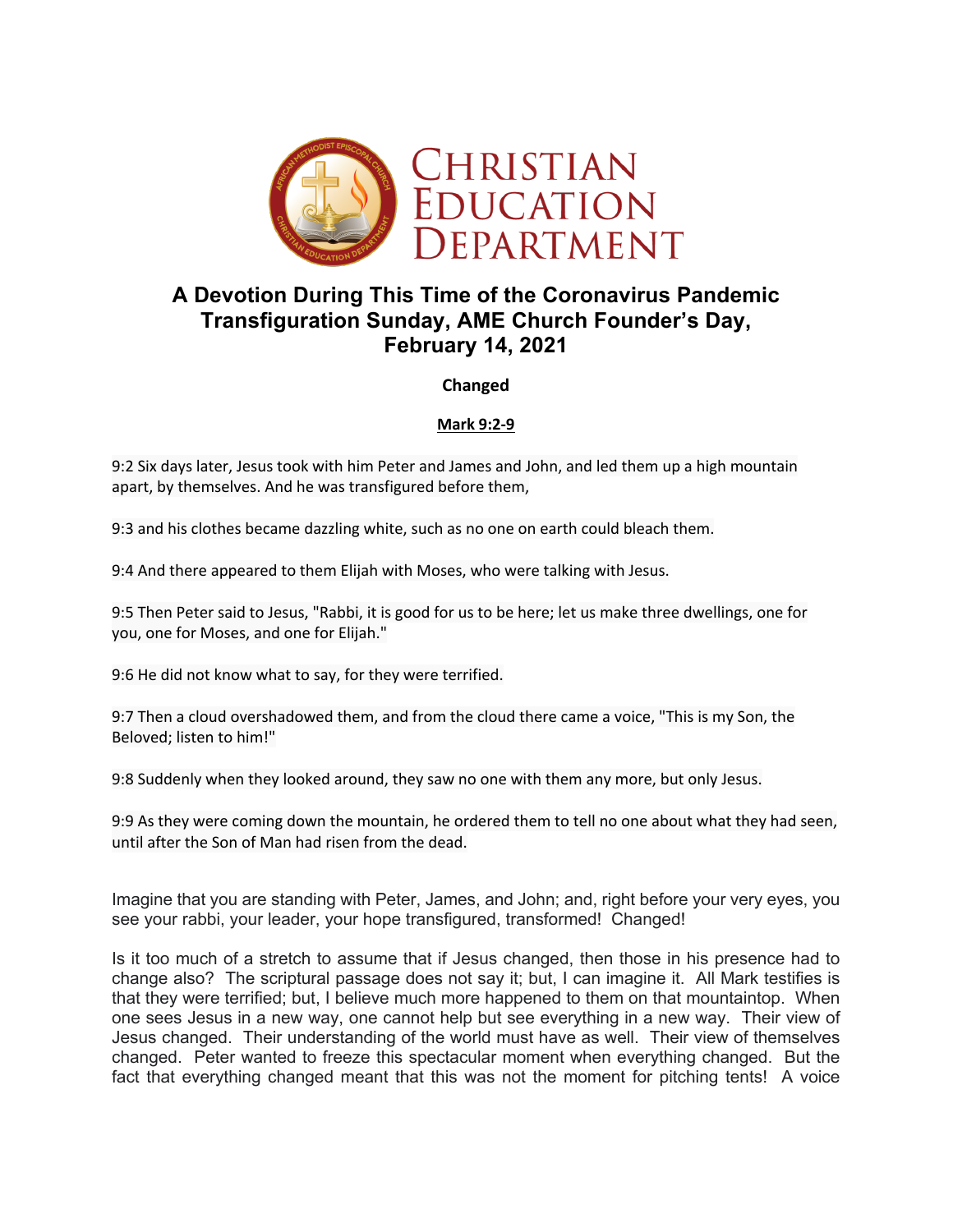

# **A Devotion During This Time of the Coronavirus Pandemic Transfiguration Sunday, AME Church Founder's Day, February 14, 2021**

**Changed**

# **Mark 9:2-9**

9:2 Six days later, Jesus took with him Peter and James and John, and led them up a high mountain apart, by themselves. And he was transfigured before them,

9:3 and his clothes became dazzling white, such as no one on earth could bleach them.

9:4 And there appeared to them Elijah with Moses, who were talking with Jesus.

9:5 Then Peter said to Jesus, "Rabbi, it is good for us to be here; let us make three dwellings, one for you, one for Moses, and one for Elijah."

9:6 He did not know what to say, for they were terrified.

9:7 Then a cloud overshadowed them, and from the cloud there came a voice, "This is my Son, the Beloved; listen to him!"

9:8 Suddenly when they looked around, they saw no one with them any more, but only Jesus.

9:9 As they were coming down the mountain, he ordered them to tell no one about what they had seen, until after the Son of Man had risen from the dead.

Imagine that you are standing with Peter, James, and John; and, right before your very eyes, you see your rabbi, your leader, your hope transfigured, transformed! Changed!

Is it too much of a stretch to assume that if Jesus changed, then those in his presence had to change also? The scriptural passage does not say it; but, I can imagine it. All Mark testifies is that they were terrified; but, I believe much more happened to them on that mountaintop. When one sees Jesus in a new way, one cannot help but see everything in a new way. Their view of Jesus changed. Their understanding of the world must have as well. Their view of themselves changed. Peter wanted to freeze this spectacular moment when everything changed. But the fact that everything changed meant that this was not the moment for pitching tents! A voice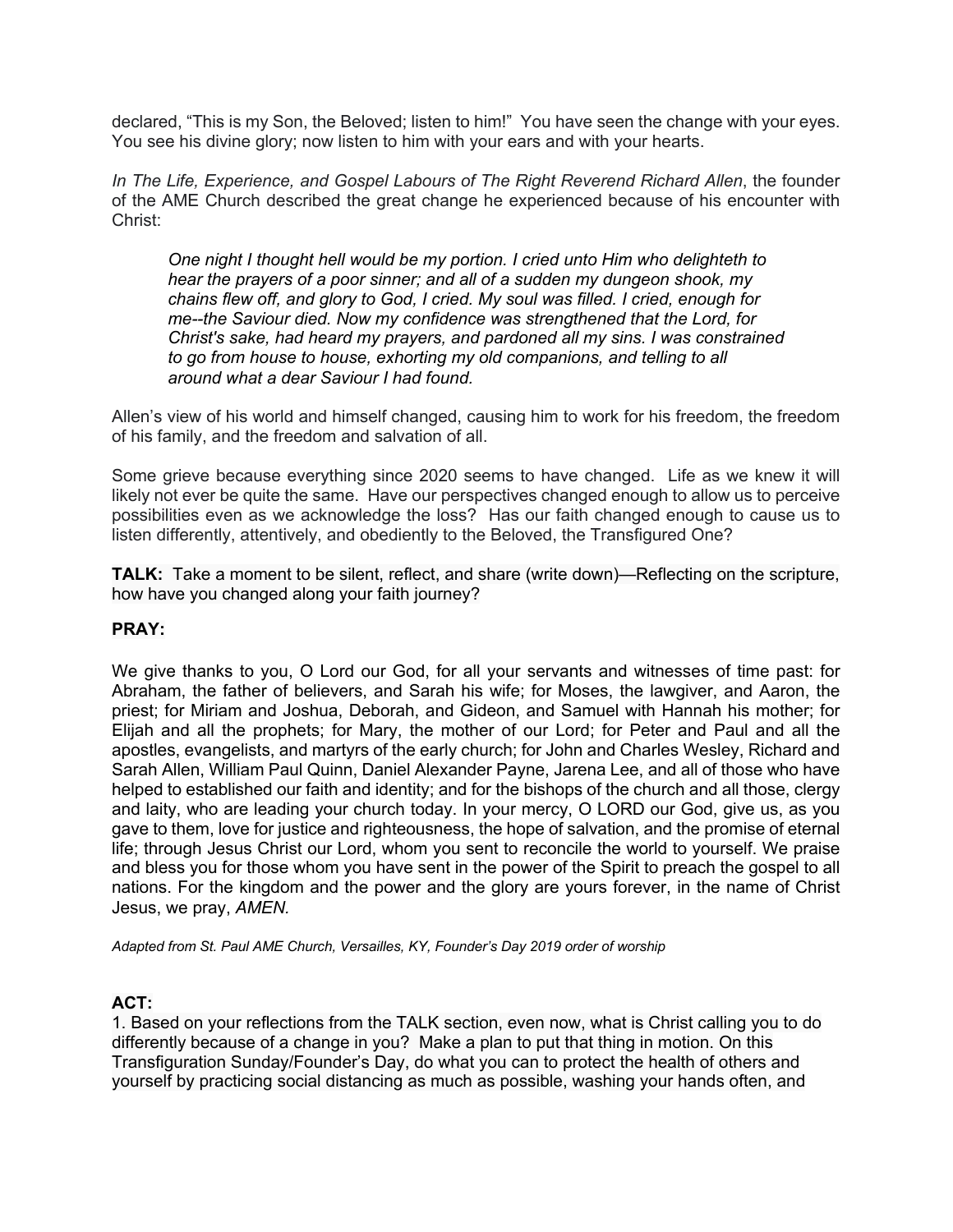declared, "This is my Son, the Beloved; listen to him!" You have seen the change with your eyes. You see his divine glory; now listen to him with your ears and with your hearts.

*In The Life, Experience, and Gospel Labours of The Right Reverend Richard Allen*, the founder of the AME Church described the great change he experienced because of his encounter with Christ:

*One night I thought hell would be my portion. I cried unto Him who delighteth to hear the prayers of a poor sinner; and all of a sudden my dungeon shook, my chains flew off, and glory to God, I cried. My soul was filled. I cried, enough for me--the Saviour died. Now my confidence was strengthened that the Lord, for Christ's sake, had heard my prayers, and pardoned all my sins. I was constrained to go from house to house, exhorting my old companions, and telling to all around what a dear Saviour I had found.*

Allen's view of his world and himself changed, causing him to work for his freedom, the freedom of his family, and the freedom and salvation of all.

Some grieve because everything since 2020 seems to have changed. Life as we knew it will likely not ever be quite the same. Have our perspectives changed enough to allow us to perceive possibilities even as we acknowledge the loss? Has our faith changed enough to cause us to listen differently, attentively, and obediently to the Beloved, the Transfigured One?

**TALK:** Take a moment to be silent, reflect, and share (write down)—Reflecting on the scripture, how have you changed along your faith journey?

# **PRAY:**

We give thanks to you, O Lord our God, for all your servants and witnesses of time past: for Abraham, the father of believers, and Sarah his wife; for Moses, the lawgiver, and Aaron, the priest; for Miriam and Joshua, Deborah, and Gideon, and Samuel with Hannah his mother; for Elijah and all the prophets; for Mary, the mother of our Lord; for Peter and Paul and all the apostles, evangelists, and martyrs of the early church; for John and Charles Wesley, Richard and Sarah Allen, William Paul Quinn, Daniel Alexander Payne, Jarena Lee, and all of those who have helped to established our faith and identity; and for the bishops of the church and all those, clergy and laity, who are leading your church today. In your mercy, O LORD our God, give us, as you gave to them, love for justice and righteousness, the hope of salvation, and the promise of eternal life; through Jesus Christ our Lord, whom you sent to reconcile the world to yourself. We praise and bless you for those whom you have sent in the power of the Spirit to preach the gospel to all nations. For the kingdom and the power and the glory are yours forever, in the name of Christ Jesus, we pray, *AMEN.*

*Adapted from St. Paul AME Church, Versailles, KY, Founder's Day 2019 order of worship*

# **ACT:**

1. Based on your reflections from the TALK section, even now, what is Christ calling you to do differently because of a change in you? Make a plan to put that thing in motion. On this Transfiguration Sunday/Founder's Day, do what you can to protect the health of others and yourself by practicing social distancing as much as possible, washing your hands often, and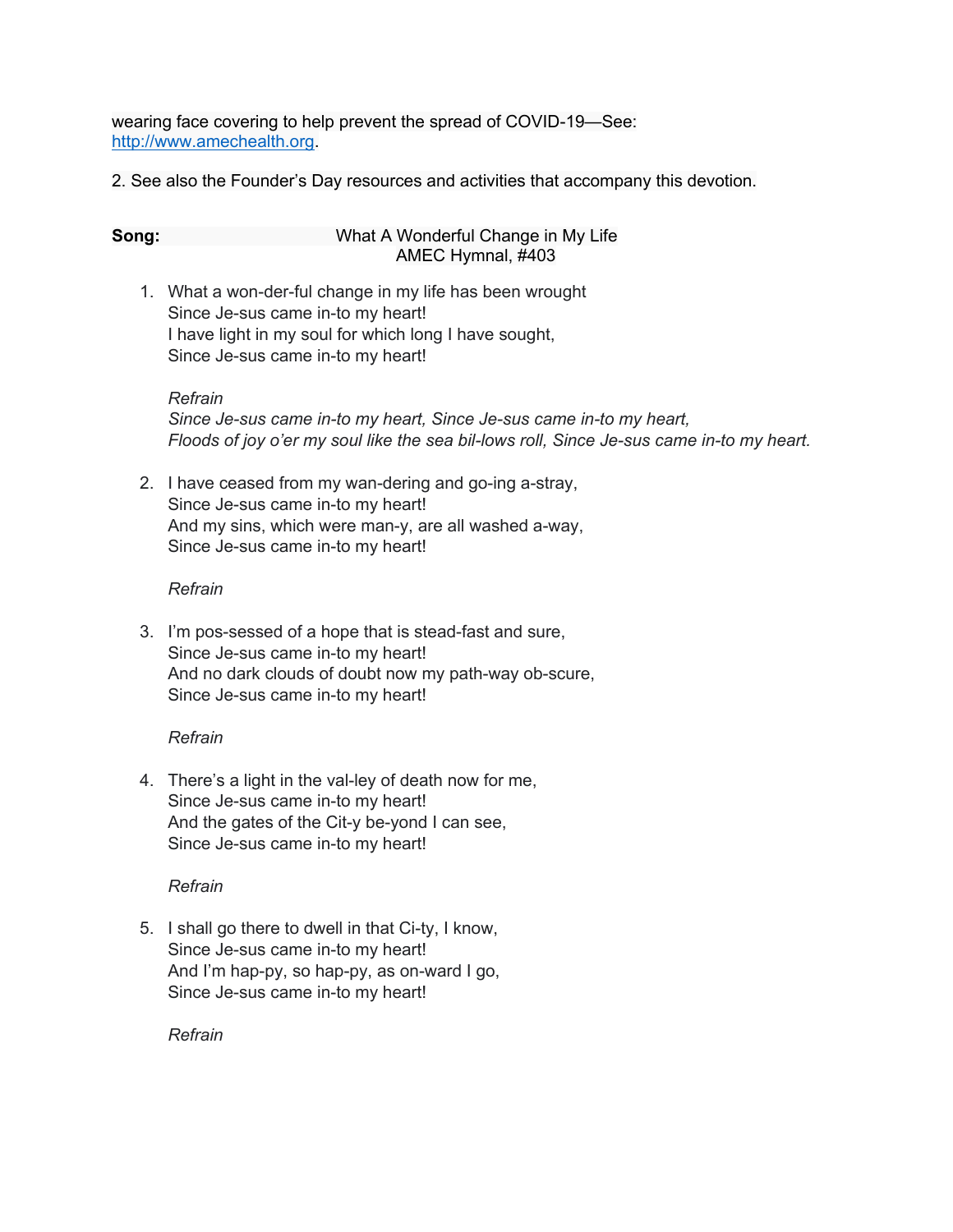wearing face covering to help prevent the spread of COVID-19—See: http://www.amechealth.org.

2. See also the Founder's Day resources and activities that accompany this devotion.

#### **Song:** What A Wonderful Change in My Life AMEC Hymnal, #403

1. What a won-der-ful change in my life has been wrought Since Je-sus came in-to my heart! I have light in my soul for which long I have sought, Since Je-sus came in-to my heart!

### *Refrain*

*Since Je-sus came in-to my heart, Since Je-sus came in-to my heart, Floods of joy o'er my soul like the sea bil-lows roll, Since Je-sus came in-to my heart.*

2. I have ceased from my wan-dering and go-ing a-stray, Since Je-sus came in-to my heart! And my sins, which were man-y, are all washed a-way, Since Je-sus came in-to my heart!

# *Refrain*

3. I'm pos-sessed of a hope that is stead-fast and sure, Since Je-sus came in-to my heart! And no dark clouds of doubt now my path-way ob-scure, Since Je-sus came in-to my heart!

# *Refrain*

4. There's a light in the val-ley of death now for me, Since Je-sus came in-to my heart! And the gates of the Cit-y be-yond I can see, Since Je-sus came in-to my heart!

# *Refrain*

5. I shall go there to dwell in that Ci-ty, I know, Since Je-sus came in-to my heart! And I'm hap-py, so hap-py, as on-ward I go, Since Je-sus came in-to my heart!

*Refrain*